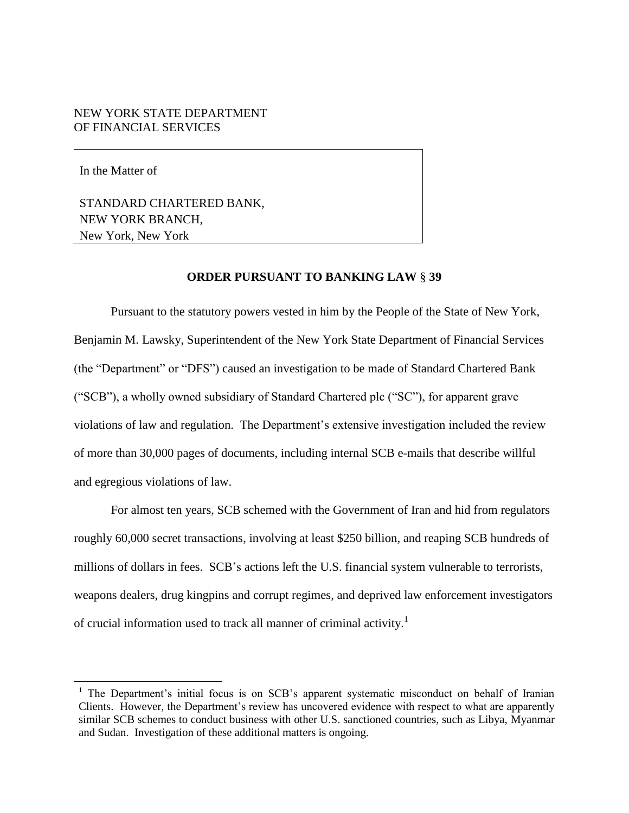# NEW YORK STATE DEPARTMENT OF FINANCIAL SERVICES

In the Matter of

l

STANDARD CHARTERED BANK, NEW YORK BRANCH, New York, New York

## **ORDER PURSUANT TO BANKING LAW** § **39**

Pursuant to the statutory powers vested in him by the People of the State of New York, Benjamin M. Lawsky, Superintendent of the New York State Department of Financial Services (the "Department" or "DFS") caused an investigation to be made of Standard Chartered Bank ("SCB"), a wholly owned subsidiary of Standard Chartered plc ("SC"), for apparent grave violations of law and regulation. The Department"s extensive investigation included the review of more than 30,000 pages of documents, including internal SCB e-mails that describe willful and egregious violations of law.

For almost ten years, SCB schemed with the Government of Iran and hid from regulators roughly 60,000 secret transactions, involving at least \$250 billion, and reaping SCB hundreds of millions of dollars in fees. SCB"s actions left the U.S. financial system vulnerable to terrorists, weapons dealers, drug kingpins and corrupt regimes, and deprived law enforcement investigators of crucial information used to track all manner of criminal activity.<sup>1</sup>

<sup>&</sup>lt;sup>1</sup> The Department's initial focus is on SCB's apparent systematic misconduct on behalf of Iranian Clients. However, the Department"s review has uncovered evidence with respect to what are apparently similar SCB schemes to conduct business with other U.S. sanctioned countries, such as Libya, Myanmar and Sudan. Investigation of these additional matters is ongoing.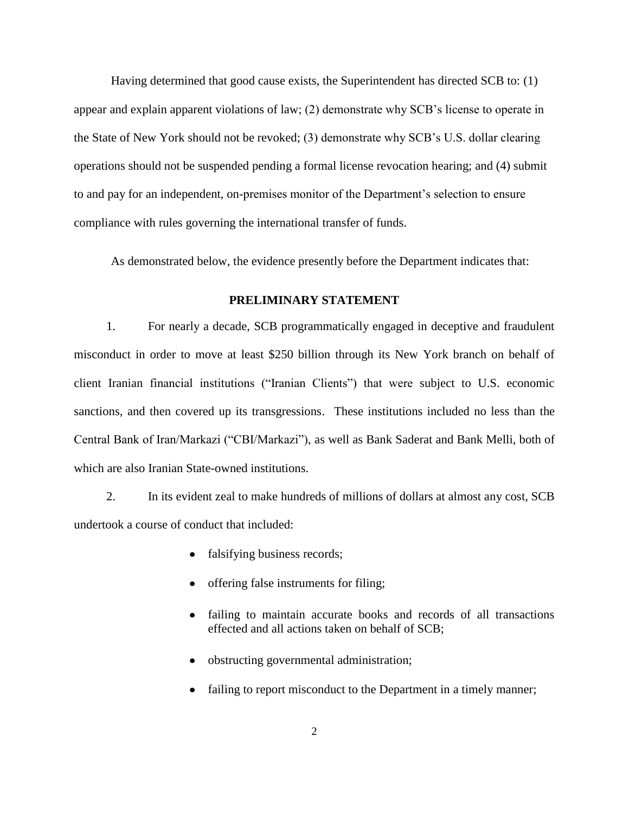Having determined that good cause exists, the Superintendent has directed SCB to: (1) appear and explain apparent violations of law; (2) demonstrate why SCB"s license to operate in the State of New York should not be revoked; (3) demonstrate why SCB"s U.S. dollar clearing operations should not be suspended pending a formal license revocation hearing; and (4) submit to and pay for an independent, on-premises monitor of the Department"s selection to ensure compliance with rules governing the international transfer of funds.

As demonstrated below, the evidence presently before the Department indicates that:

# **PRELIMINARY STATEMENT**

1. For nearly a decade, SCB programmatically engaged in deceptive and fraudulent misconduct in order to move at least \$250 billion through its New York branch on behalf of client Iranian financial institutions ("Iranian Clients") that were subject to U.S. economic sanctions, and then covered up its transgressions. These institutions included no less than the Central Bank of Iran/Markazi ("CBI/Markazi"), as well as Bank Saderat and Bank Melli, both of which are also Iranian State-owned institutions.

2. In its evident zeal to make hundreds of millions of dollars at almost any cost, SCB undertook a course of conduct that included:

- falsifying business records;
- offering false instruments for filing;
- failing to maintain accurate books and records of all transactions  $\bullet$ effected and all actions taken on behalf of SCB;
- obstructing governmental administration;
- failing to report misconduct to the Department in a timely manner;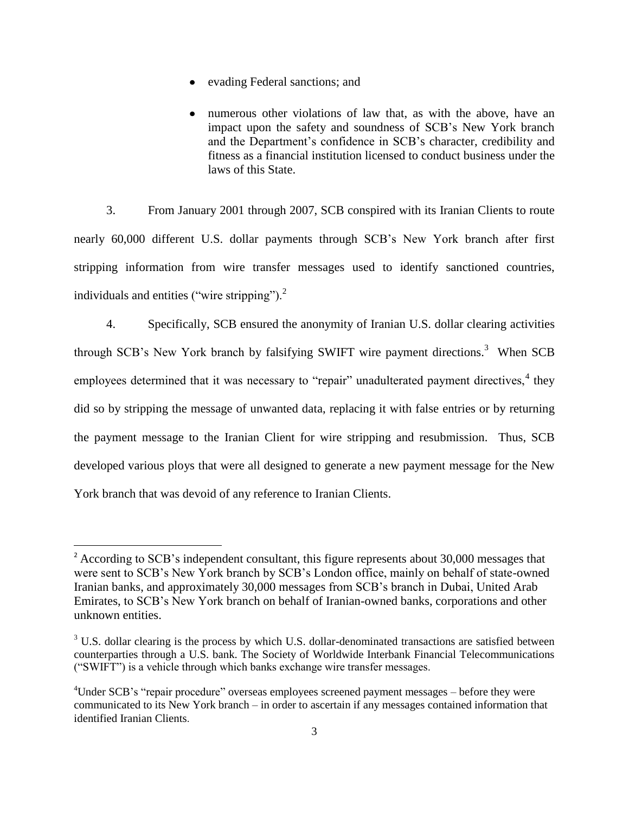- evading Federal sanctions; and
- numerous other violations of law that, as with the above, have an impact upon the safety and soundness of SCB"s New York branch and the Department's confidence in SCB's character, credibility and fitness as a financial institution licensed to conduct business under the laws of this State.

3. From January 2001 through 2007, SCB conspired with its Iranian Clients to route nearly 60,000 different U.S. dollar payments through SCB"s New York branch after first stripping information from wire transfer messages used to identify sanctioned countries, individuals and entities ("wire stripping"). $<sup>2</sup>$ </sup>

4. Specifically, SCB ensured the anonymity of Iranian U.S. dollar clearing activities through SCB's New York branch by falsifying SWIFT wire payment directions.<sup>3</sup> When SCB employees determined that it was necessary to "repair" unadulterated payment directives,  $4$  they did so by stripping the message of unwanted data, replacing it with false entries or by returning the payment message to the Iranian Client for wire stripping and resubmission. Thus, SCB developed various ploys that were all designed to generate a new payment message for the New York branch that was devoid of any reference to Iranian Clients.

<sup>&</sup>lt;sup>2</sup> According to SCB's independent consultant, this figure represents about 30,000 messages that were sent to SCB"s New York branch by SCB"s London office, mainly on behalf of state-owned Iranian banks, and approximately 30,000 messages from SCB"s branch in Dubai, United Arab Emirates, to SCB"s New York branch on behalf of Iranian-owned banks, corporations and other unknown entities.

 $3$  U.S. dollar clearing is the process by which U.S. dollar-denominated transactions are satisfied between counterparties through a U.S. bank. The Society of Worldwide Interbank Financial Telecommunications ("SWIFT") is a vehicle through which banks exchange wire transfer messages.

<sup>&</sup>lt;sup>4</sup>Under SCB's "repair procedure" overseas employees screened payment messages – before they were communicated to its New York branch – in order to ascertain if any messages contained information that identified Iranian Clients.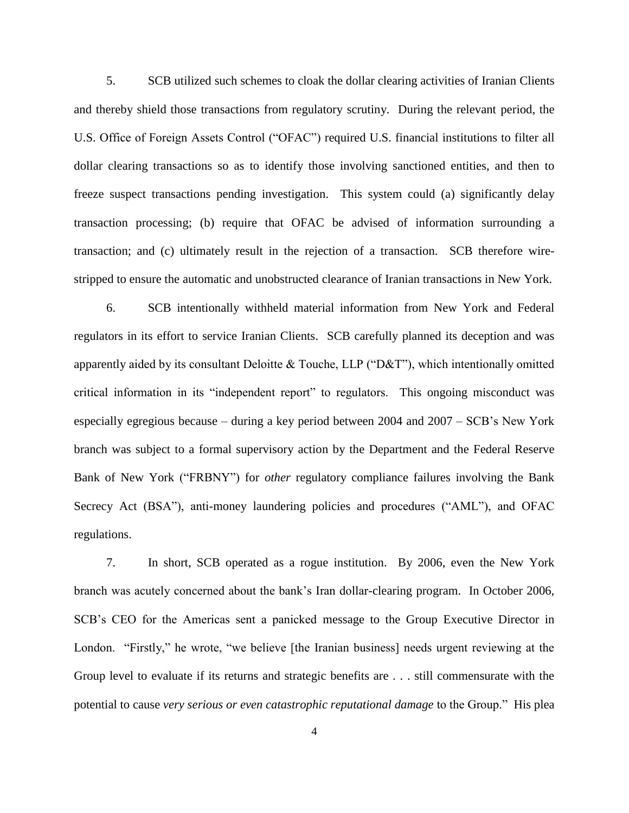5. SCB utilized such schemes to cloak the dollar clearing activities of Iranian Clients and thereby shield those transactions from regulatory scrutiny. During the relevant period, the U.S. Office of Foreign Assets Control ("OFAC") required U.S. financial institutions to filter all dollar clearing transactions so as to identify those involving sanctioned entities, and then to freeze suspect transactions pending investigation. This system could (a) significantly delay transaction processing; (b) require that OFAC be advised of information surrounding a transaction; and (c) ultimately result in the rejection of a transaction. SCB therefore wirestripped to ensure the automatic and unobstructed clearance of Iranian transactions in New York.

6. SCB intentionally withheld material information from New York and Federal regulators in its effort to service Iranian Clients. SCB carefully planned its deception and was apparently aided by its consultant Deloitte & Touche, LLP ("D&T"), which intentionally omitted critical information in its "independent report" to regulators. This ongoing misconduct was especially egregious because – during a key period between 2004 and 2007 – SCB"s New York branch was subject to a formal supervisory action by the Department and the Federal Reserve Bank of New York ("FRBNY") for *other* regulatory compliance failures involving the Bank Secrecy Act (BSA"), anti-money laundering policies and procedures ("AML"), and OFAC regulations.

7. In short, SCB operated as a rogue institution. By 2006, even the New York branch was acutely concerned about the bank"s Iran dollar-clearing program. In October 2006, SCB"s CEO for the Americas sent a panicked message to the Group Executive Director in London. "Firstly," he wrote, "we believe [the Iranian business] needs urgent reviewing at the Group level to evaluate if its returns and strategic benefits are . . . still commensurate with the potential to cause *very serious or even catastrophic reputational damage* to the Group." His plea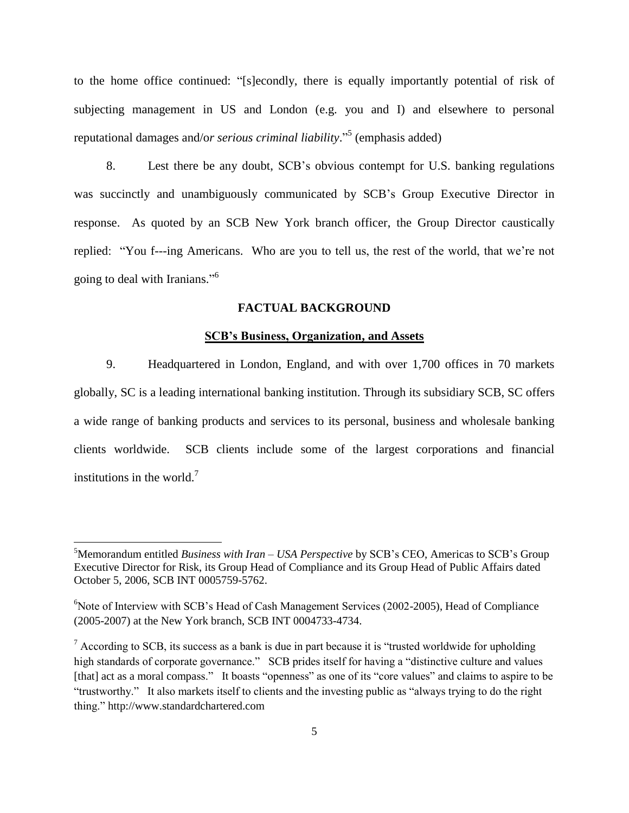to the home office continued: "[s]econdly, there is equally importantly potential of risk of subjecting management in US and London (e.g. you and I) and elsewhere to personal reputational damages and/o*r serious criminal liability*." 5 (emphasis added)

8. Lest there be any doubt, SCB"s obvious contempt for U.S. banking regulations was succinctly and unambiguously communicated by SCB"s Group Executive Director in response. As quoted by an SCB New York branch officer, the Group Director caustically replied: "You f---ing Americans. Who are you to tell us, the rest of the world, that we"re not going to deal with Iranians."<sup>6</sup>

## **FACTUAL BACKGROUND**

# **SCB's Business, Organization, and Assets**

9. Headquartered in London, England, and with over 1,700 offices in 70 markets globally, SC is a leading international banking institution. Through its subsidiary SCB, SC offers a wide range of banking products and services to its personal, business and wholesale banking clients worldwide. SCB clients include some of the largest corporations and financial institutions in the world. $<sup>7</sup>$ </sup>

l

<sup>5</sup>Memorandum entitled *Business with Iran – USA Perspective* by SCB"s CEO, Americas to SCB"s Group Executive Director for Risk, its Group Head of Compliance and its Group Head of Public Affairs dated October 5, 2006, SCB INT 0005759-5762.

 $6$ Note of Interview with SCB's Head of Cash Management Services (2002-2005), Head of Compliance (2005-2007) at the New York branch, SCB INT 0004733-4734.

 $\frac{7}{1}$  According to SCB, its success as a bank is due in part because it is "trusted worldwide for upholding high standards of corporate governance." SCB prides itself for having a "distinctive culture and values [that] act as a moral compass." It boasts "openness" as one of its "core values" and claims to aspire to be "trustworthy." It also markets itself to clients and the investing public as "always trying to do the right thing." http://www.standardchartered.com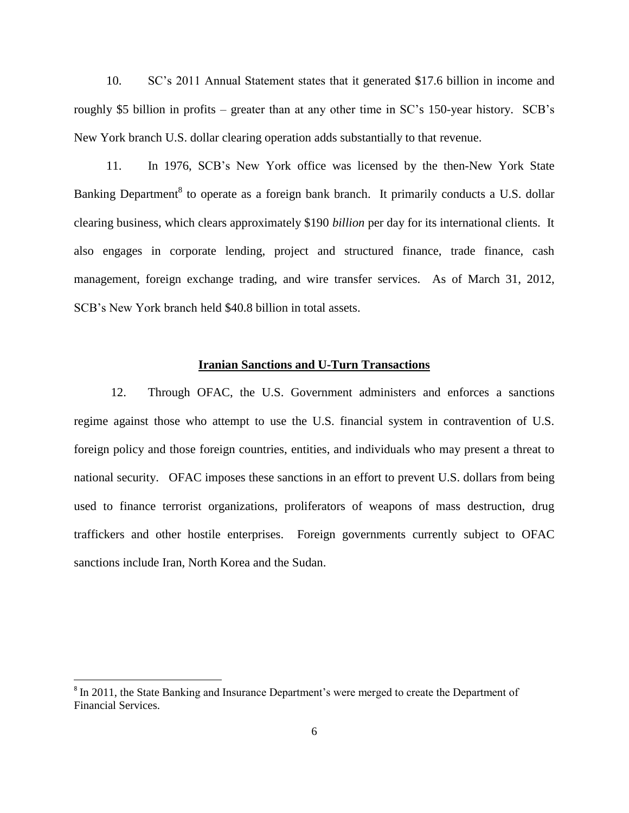10. SC"s 2011 Annual Statement states that it generated \$17.6 billion in income and roughly \$5 billion in profits – greater than at any other time in SC's 150-year history. SCB's New York branch U.S. dollar clearing operation adds substantially to that revenue.

11. In 1976, SCB"s New York office was licensed by the then-New York State Banking Department<sup>8</sup> to operate as a foreign bank branch. It primarily conducts a U.S. dollar clearing business, which clears approximately \$190 *billion* per day for its international clients. It also engages in corporate lending, project and structured finance, trade finance, cash management, foreign exchange trading, and wire transfer services. As of March 31, 2012, SCB"s New York branch held \$40.8 billion in total assets.

## **Iranian Sanctions and U-Turn Transactions**

12. Through OFAC, the U.S. Government administers and enforces a sanctions regime against those who attempt to use the U.S. financial system in contravention of U.S. foreign policy and those foreign countries, entities, and individuals who may present a threat to national security. OFAC imposes these sanctions in an effort to prevent U.S. dollars from being used to finance terrorist organizations, proliferators of weapons of mass destruction, drug traffickers and other hostile enterprises. Foreign governments currently subject to OFAC sanctions include Iran, North Korea and the Sudan.

<sup>&</sup>lt;sup>8</sup> In 2011, the State Banking and Insurance Department's were merged to create the Department of Financial Services.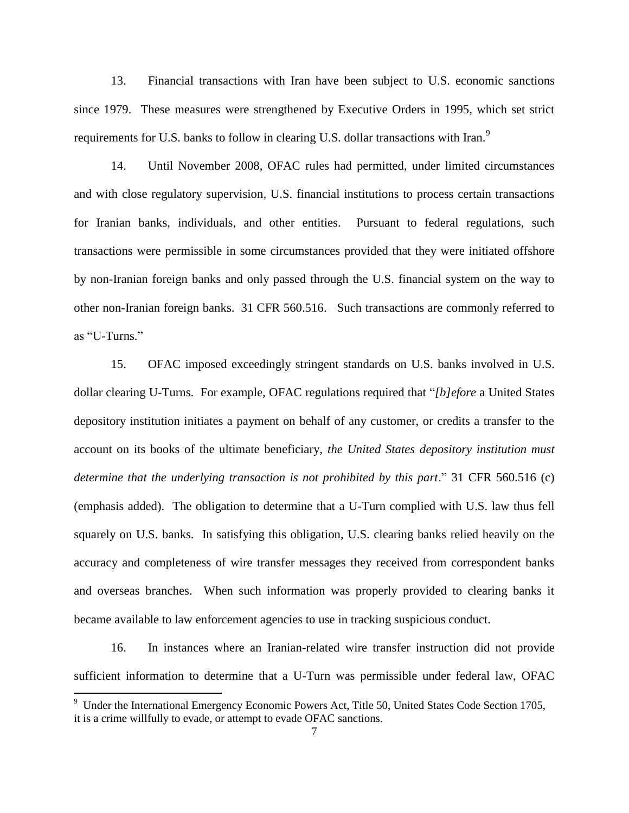13. Financial transactions with Iran have been subject to U.S. economic sanctions since 1979. These measures were strengthened by Executive Orders in 1995, which set strict requirements for U.S. banks to follow in clearing U.S. dollar transactions with Iran.<sup>9</sup>

14. Until November 2008, OFAC rules had permitted, under limited circumstances and with close regulatory supervision, U.S. financial institutions to process certain transactions for Iranian banks, individuals, and other entities. Pursuant to federal regulations, such transactions were permissible in some circumstances provided that they were initiated offshore by non-Iranian foreign banks and only passed through the U.S. financial system on the way to other non-Iranian foreign banks. 31 CFR 560.516. Such transactions are commonly referred to as "U-Turns."

15. OFAC imposed exceedingly stringent standards on U.S. banks involved in U.S. dollar clearing U-Turns. For example, OFAC regulations required that "*[b]efore* a United States depository institution initiates a payment on behalf of any customer, or credits a transfer to the account on its books of the ultimate beneficiary, *the United States depository institution must determine that the underlying transaction is not prohibited by this part*." 31 CFR 560.516 (c) (emphasis added). The obligation to determine that a U-Turn complied with U.S. law thus fell squarely on U.S. banks. In satisfying this obligation, U.S. clearing banks relied heavily on the accuracy and completeness of wire transfer messages they received from correspondent banks and overseas branches. When such information was properly provided to clearing banks it became available to law enforcement agencies to use in tracking suspicious conduct.

16. In instances where an Iranian-related wire transfer instruction did not provide sufficient information to determine that a U-Turn was permissible under federal law, OFAC

<sup>&</sup>lt;sup>9</sup> Under the International Emergency Economic Powers Act, Title 50, United States Code Section 1705, it is a crime willfully to evade, or attempt to evade OFAC sanctions.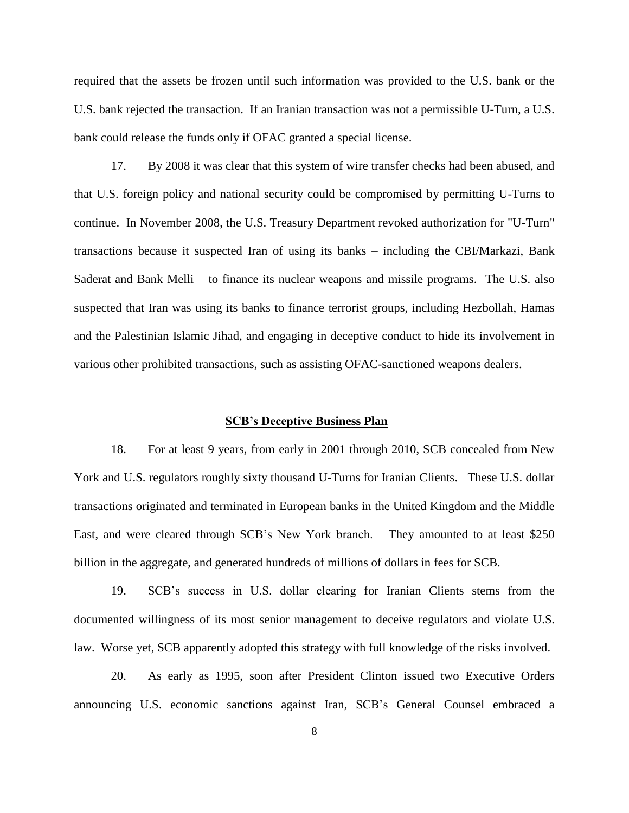required that the assets be frozen until such information was provided to the U.S. bank or the U.S. bank rejected the transaction. If an Iranian transaction was not a permissible U-Turn, a U.S. bank could release the funds only if OFAC granted a special license.

17. By 2008 it was clear that this system of wire transfer checks had been abused, and that U.S. foreign policy and national security could be compromised by permitting U-Turns to continue. In November 2008, the U.S. Treasury Department revoked authorization for "U-Turn" transactions because it suspected Iran of using its banks – including the CBI/Markazi, Bank Saderat and Bank Melli – to finance its nuclear weapons and missile programs. The U.S. also suspected that Iran was using its banks to finance terrorist groups, including Hezbollah, Hamas and the Palestinian Islamic Jihad, and engaging in deceptive conduct to hide its involvement in various other prohibited transactions, such as assisting OFAC-sanctioned weapons dealers.

### **SCB's Deceptive Business Plan**

18. For at least 9 years, from early in 2001 through 2010, SCB concealed from New York and U.S. regulators roughly sixty thousand U-Turns for Iranian Clients. These U.S. dollar transactions originated and terminated in European banks in the United Kingdom and the Middle East, and were cleared through SCB"s New York branch. They amounted to at least \$250 billion in the aggregate, and generated hundreds of millions of dollars in fees for SCB.

19. SCB"s success in U.S. dollar clearing for Iranian Clients stems from the documented willingness of its most senior management to deceive regulators and violate U.S. law. Worse yet, SCB apparently adopted this strategy with full knowledge of the risks involved.

20. As early as 1995, soon after President Clinton issued two Executive Orders announcing U.S. economic sanctions against Iran, SCB"s General Counsel embraced a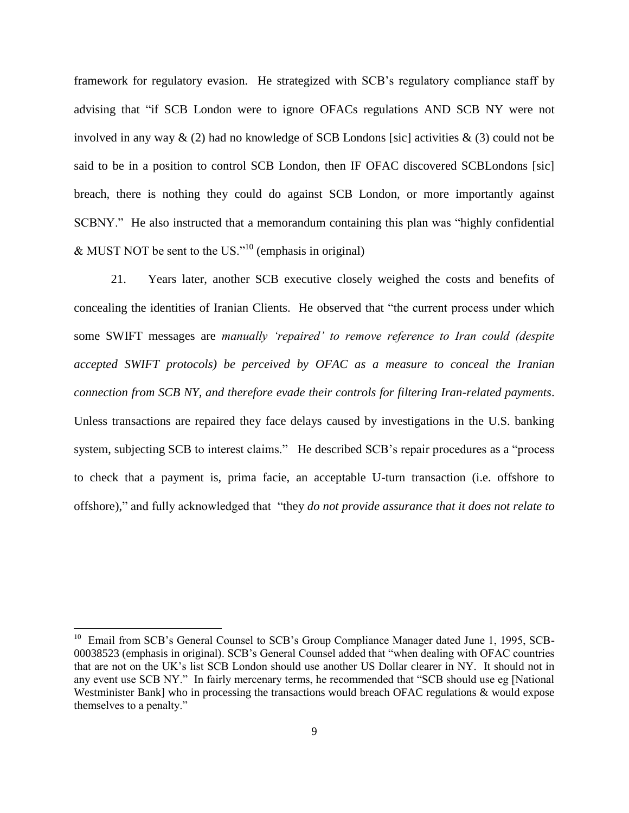framework for regulatory evasion. He strategized with SCB"s regulatory compliance staff by advising that "if SCB London were to ignore OFACs regulations AND SCB NY were not involved in any way  $\&$  (2) had no knowledge of SCB Londons [sic] activities  $\&$  (3) could not be said to be in a position to control SCB London, then IF OFAC discovered SCBLondons [sic] breach, there is nothing they could do against SCB London, or more importantly against SCBNY." He also instructed that a memorandum containing this plan was "highly confidential  $&$  MUST NOT be sent to the US."<sup>10</sup> (emphasis in original)

21. Years later, another SCB executive closely weighed the costs and benefits of concealing the identities of Iranian Clients. He observed that "the current process under which some SWIFT messages are *manually 'repaired' to remove reference to Iran could (despite accepted SWIFT protocols) be perceived by OFAC as a measure to conceal the Iranian connection from SCB NY, and therefore evade their controls for filtering Iran-related payments*. Unless transactions are repaired they face delays caused by investigations in the U.S. banking system, subjecting SCB to interest claims." He described SCB's repair procedures as a "process to check that a payment is, prima facie, an acceptable U-turn transaction (i.e. offshore to offshore)," and fully acknowledged that "they *do not provide assurance that it does not relate to* 

<sup>&</sup>lt;sup>10</sup> Email from SCB's General Counsel to SCB's Group Compliance Manager dated June 1, 1995, SCB-00038523 (emphasis in original). SCB"s General Counsel added that "when dealing with OFAC countries that are not on the UK"s list SCB London should use another US Dollar clearer in NY. It should not in any event use SCB NY." In fairly mercenary terms, he recommended that "SCB should use eg [National Westminister Bank] who in processing the transactions would breach OFAC regulations & would expose themselves to a penalty."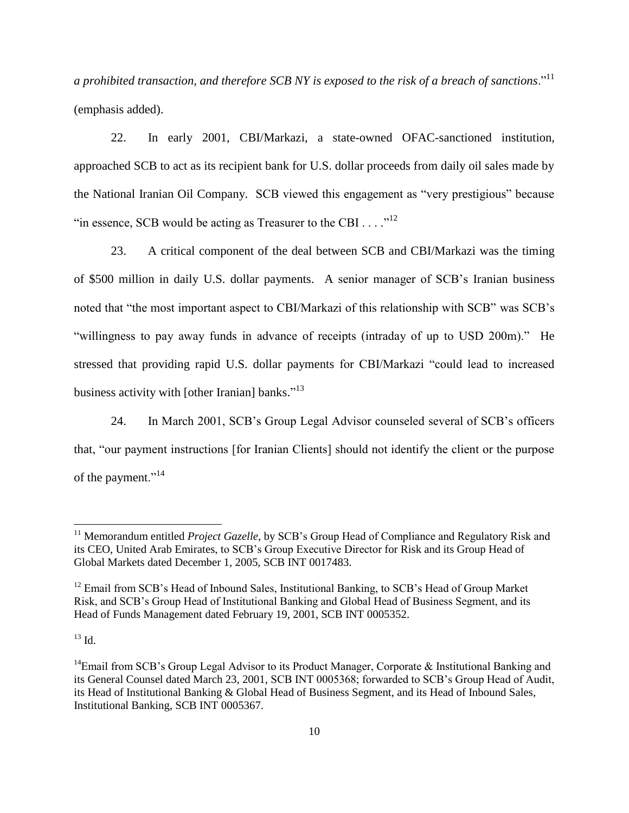*a prohibited transaction, and therefore SCB NY is exposed to the risk of a breach of sanctions*."<sup>11</sup> (emphasis added).

22. In early 2001, CBI/Markazi, a state-owned OFAC-sanctioned institution, approached SCB to act as its recipient bank for U.S. dollar proceeds from daily oil sales made by the National Iranian Oil Company. SCB viewed this engagement as "very prestigious" because "in essence, SCB would be acting as Treasurer to the CBI .  $\dots$ ."<sup>12</sup>

23. A critical component of the deal between SCB and CBI/Markazi was the timing of \$500 million in daily U.S. dollar payments. A senior manager of SCB"s Iranian business noted that "the most important aspect to CBI/Markazi of this relationship with SCB" was SCB"s "willingness to pay away funds in advance of receipts (intraday of up to USD 200m)." He stressed that providing rapid U.S. dollar payments for CBI/Markazi "could lead to increased business activity with [other Iranian] banks."<sup>13</sup>

24. In March 2001, SCB"s Group Legal Advisor counseled several of SCB"s officers that, "our payment instructions [for Iranian Clients] should not identify the client or the purpose of the payment."<sup>14</sup>

 $^{13}$  Id.

<sup>&</sup>lt;sup>11</sup> Memorandum entitled *Project Gazelle*, by SCB's Group Head of Compliance and Regulatory Risk and its CEO, United Arab Emirates, to SCB"s Group Executive Director for Risk and its Group Head of Global Markets dated December 1, 2005, SCB INT 0017483.

<sup>&</sup>lt;sup>12</sup> Email from SCB's Head of Inbound Sales, Institutional Banking, to SCB's Head of Group Market Risk, and SCB"s Group Head of Institutional Banking and Global Head of Business Segment, and its Head of Funds Management dated February 19, 2001, SCB INT 0005352.

<sup>&</sup>lt;sup>14</sup>Email from SCB's Group Legal Advisor to its Product Manager, Corporate & Institutional Banking and its General Counsel dated March 23, 2001, SCB INT 0005368; forwarded to SCB"s Group Head of Audit, its Head of Institutional Banking & Global Head of Business Segment, and its Head of Inbound Sales, Institutional Banking, SCB INT 0005367.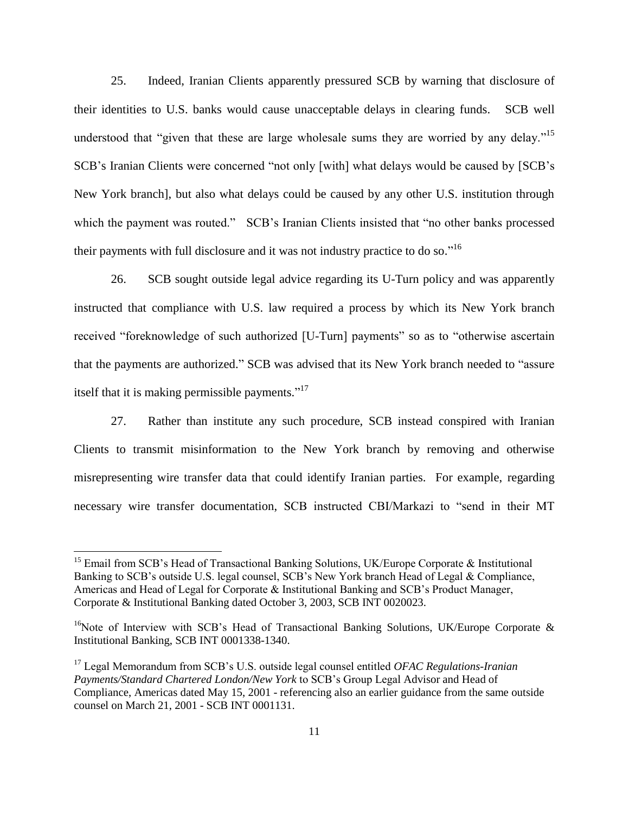25. Indeed, Iranian Clients apparently pressured SCB by warning that disclosure of their identities to U.S. banks would cause unacceptable delays in clearing funds. SCB well understood that "given that these are large wholesale sums they are worried by any delay."<sup>15</sup> SCB"s Iranian Clients were concerned "not only [with] what delays would be caused by [SCB"s New York branch], but also what delays could be caused by any other U.S. institution through which the payment was routed." SCB's Iranian Clients insisted that "no other banks processed their payments with full disclosure and it was not industry practice to do so."<sup>16</sup>

26. SCB sought outside legal advice regarding its U-Turn policy and was apparently instructed that compliance with U.S. law required a process by which its New York branch received "foreknowledge of such authorized [U-Turn] payments" so as to "otherwise ascertain that the payments are authorized." SCB was advised that its New York branch needed to "assure itself that it is making permissible payments."<sup>17</sup>

27. Rather than institute any such procedure, SCB instead conspired with Iranian Clients to transmit misinformation to the New York branch by removing and otherwise misrepresenting wire transfer data that could identify Iranian parties. For example, regarding necessary wire transfer documentation, SCB instructed CBI/Markazi to "send in their MT

<sup>&</sup>lt;sup>15</sup> Email from SCB's Head of Transactional Banking Solutions, UK/Europe Corporate  $\&$  Institutional Banking to SCB's outside U.S. legal counsel, SCB's New York branch Head of Legal & Compliance, Americas and Head of Legal for Corporate & Institutional Banking and SCB"s Product Manager, Corporate & Institutional Banking dated October 3, 2003, SCB INT 0020023.

<sup>&</sup>lt;sup>16</sup>Note of Interview with SCB's Head of Transactional Banking Solutions, UK/Europe Corporate & Institutional Banking, SCB INT 0001338-1340.

<sup>17</sup> Legal Memorandum from SCB"s U.S. outside legal counsel entitled *OFAC Regulations-Iranian Payments/Standard Chartered London/New York* to SCB"s Group Legal Advisor and Head of Compliance, Americas dated May 15, 2001 - referencing also an earlier guidance from the same outside counsel on March 21, 2001 - SCB INT 0001131.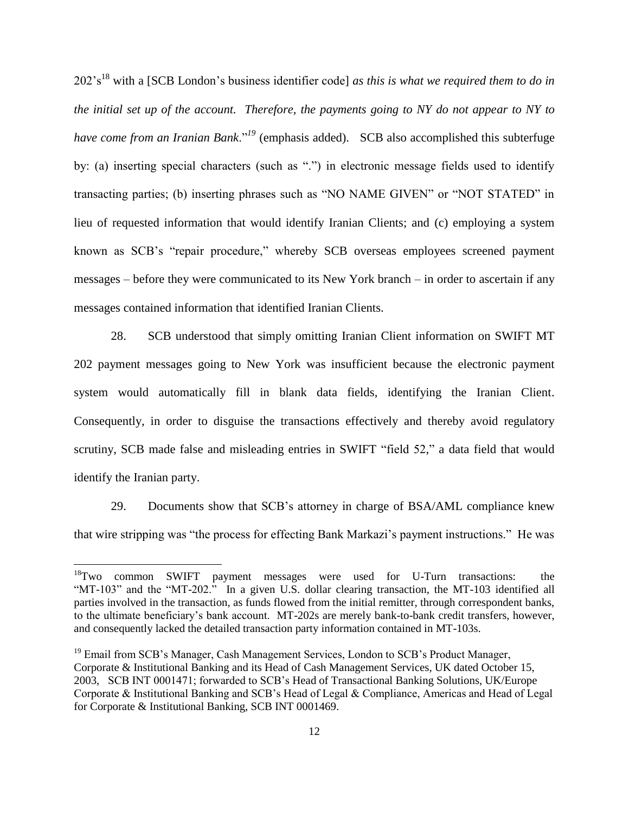202"s<sup>18</sup> with a [SCB London"s business identifier code] *as this is what we required them to do in the initial set up of the account. Therefore, the payments going to NY do not appear to NY to have come from an Iranian Bank*."<sup>19</sup> (emphasis added). SCB also accomplished this subterfuge by: (a) inserting special characters (such as ".") in electronic message fields used to identify transacting parties; (b) inserting phrases such as "NO NAME GIVEN" or "NOT STATED" in lieu of requested information that would identify Iranian Clients; and (c) employing a system known as SCB"s "repair procedure," whereby SCB overseas employees screened payment messages – before they were communicated to its New York branch – in order to ascertain if any messages contained information that identified Iranian Clients.

28. SCB understood that simply omitting Iranian Client information on SWIFT MT 202 payment messages going to New York was insufficient because the electronic payment system would automatically fill in blank data fields, identifying the Iranian Client. Consequently, in order to disguise the transactions effectively and thereby avoid regulatory scrutiny, SCB made false and misleading entries in SWIFT "field 52," a data field that would identify the Iranian party.

29. Documents show that SCB"s attorney in charge of BSA/AML compliance knew that wire stripping was "the process for effecting Bank Markazi"s payment instructions." He was

<sup>&</sup>lt;sup>18</sup>Two common SWIFT payment messages were used for U-Turn transactions: the "MT-103" and the "MT-202." In a given U.S. dollar clearing transaction, the MT-103 identified all parties involved in the transaction, as funds flowed from the initial remitter, through correspondent banks, to the ultimate beneficiary's bank account. MT-202s are merely bank-to-bank credit transfers, however, and consequently lacked the detailed transaction party information contained in MT-103s.

<sup>&</sup>lt;sup>19</sup> Email from SCB's Manager, Cash Management Services, London to SCB's Product Manager, Corporate & Institutional Banking and its Head of Cash Management Services, UK dated October 15, 2003, SCB INT 0001471; forwarded to SCB"s Head of Transactional Banking Solutions, UK/Europe Corporate & Institutional Banking and SCB"s Head of Legal & Compliance, Americas and Head of Legal for Corporate & Institutional Banking, SCB INT 0001469.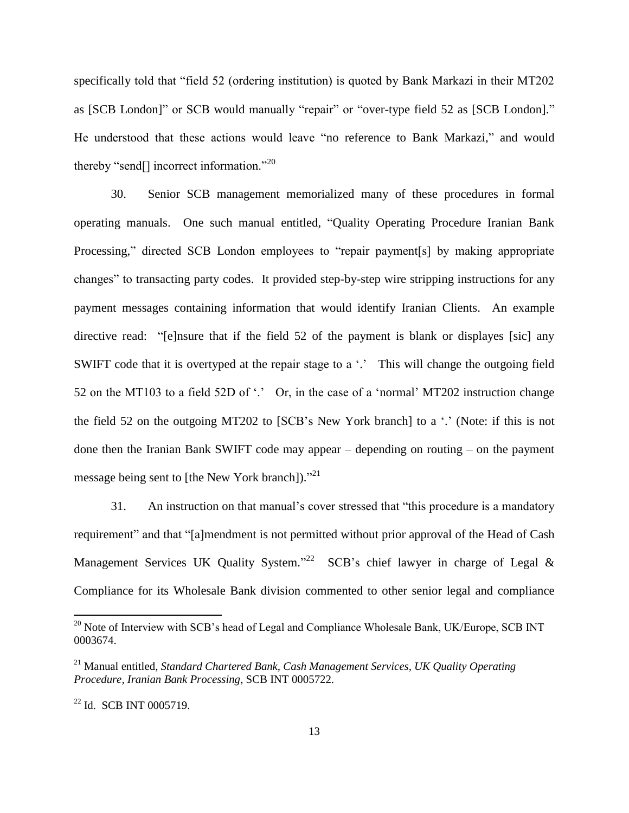specifically told that "field 52 (ordering institution) is quoted by Bank Markazi in their MT202 as [SCB London]" or SCB would manually "repair" or "over-type field 52 as [SCB London]." He understood that these actions would leave "no reference to Bank Markazi," and would thereby "send $\lceil$ ] incorrect information."<sup>20</sup>

30. Senior SCB management memorialized many of these procedures in formal operating manuals. One such manual entitled, "Quality Operating Procedure Iranian Bank Processing," directed SCB London employees to "repair payment[s] by making appropriate changes" to transacting party codes. It provided step-by-step wire stripping instructions for any payment messages containing information that would identify Iranian Clients. An example directive read: "[e]nsure that if the field 52 of the payment is blank or displayes [sic] any SWIFT code that it is overtyped at the repair stage to a '.' This will change the outgoing field 52 on the MT103 to a field 52D of  $\cdot$ . Or, in the case of a 'normal' MT202 instruction change the field 52 on the outgoing MT202 to [SCB's New York branch] to a  $\cdot$ . (Note: if this is not done then the Iranian Bank SWIFT code may appear – depending on routing – on the payment message being sent to [the New York branch])."<sup>21</sup>

31. An instruction on that manual"s cover stressed that "this procedure is a mandatory requirement" and that "[a]mendment is not permitted without prior approval of the Head of Cash Management Services UK Quality System."<sup>22</sup> SCB's chief lawyer in charge of Legal & Compliance for its Wholesale Bank division commented to other senior legal and compliance

 $^{20}$  Note of Interview with SCB's head of Legal and Compliance Wholesale Bank, UK/Europe, SCB INT 0003674.

<sup>21</sup> Manual entitled, *Standard Chartered Bank, Cash Management Services, UK Quality Operating Procedure, Iranian Bank Processing*, SCB INT 0005722.

 $22$  Id. SCB INT 0005719.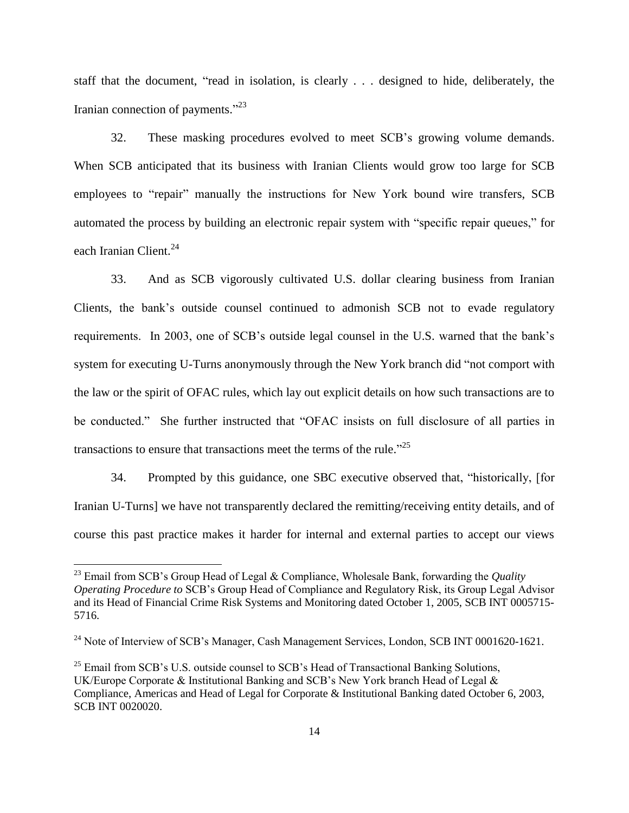staff that the document, "read in isolation, is clearly . . . designed to hide, deliberately, the Iranian connection of payments."<sup>23</sup>

32. These masking procedures evolved to meet SCB"s growing volume demands. When SCB anticipated that its business with Iranian Clients would grow too large for SCB employees to "repair" manually the instructions for New York bound wire transfers, SCB automated the process by building an electronic repair system with "specific repair queues," for each Iranian Client.<sup>24</sup>

33. And as SCB vigorously cultivated U.S. dollar clearing business from Iranian Clients, the bank"s outside counsel continued to admonish SCB not to evade regulatory requirements. In 2003, one of SCB"s outside legal counsel in the U.S. warned that the bank"s system for executing U-Turns anonymously through the New York branch did "not comport with the law or the spirit of OFAC rules, which lay out explicit details on how such transactions are to be conducted." She further instructed that "OFAC insists on full disclosure of all parties in transactions to ensure that transactions meet the terms of the rule."<sup>25</sup>

34. Prompted by this guidance, one SBC executive observed that, "historically, [for Iranian U-Turns] we have not transparently declared the remitting/receiving entity details, and of course this past practice makes it harder for internal and external parties to accept our views

 $^{23}$  Email from SCB's Group Head of Legal & Compliance, Wholesale Bank, forwarding the *Quality Operating Procedure to* SCB"s Group Head of Compliance and Regulatory Risk, its Group Legal Advisor and its Head of Financial Crime Risk Systems and Monitoring dated October 1, 2005, SCB INT 0005715- 5716.

<sup>&</sup>lt;sup>24</sup> Note of Interview of SCB's Manager, Cash Management Services, London, SCB INT 0001620-1621.

 $^{25}$  Email from SCB's U.S. outside counsel to SCB's Head of Transactional Banking Solutions, UK/Europe Corporate & Institutional Banking and SCB"s New York branch Head of Legal & Compliance, Americas and Head of Legal for Corporate & Institutional Banking dated October 6, 2003, SCB INT 0020020.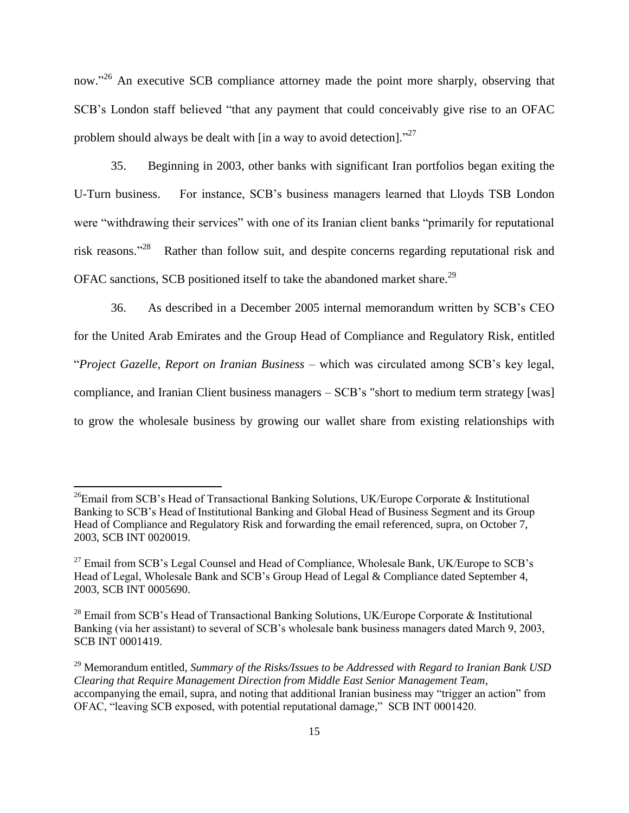now."<sup>26</sup> An executive SCB compliance attorney made the point more sharply, observing that SCB"s London staff believed "that any payment that could conceivably give rise to an OFAC problem should always be dealt with [in a way to avoid detection]. $^{27}$ 

35. Beginning in 2003, other banks with significant Iran portfolios began exiting the U-Turn business. For instance, SCB"s business managers learned that Lloyds TSB London were "withdrawing their services" with one of its Iranian client banks "primarily for reputational risk reasons."<sup>28</sup> Rather than follow suit, and despite concerns regarding reputational risk and OFAC sanctions, SCB positioned itself to take the abandoned market share.<sup>29</sup>

36. As described in a December 2005 internal memorandum written by SCB"s CEO for the United Arab Emirates and the Group Head of Compliance and Regulatory Risk, entitled "*Project Gazelle, Report on Iranian Business* – which was circulated among SCB"s key legal, compliance, and Iranian Client business managers – SCB"s "short to medium term strategy [was] to grow the wholesale business by growing our wallet share from existing relationships with

 $^{26}$ Email from SCB's Head of Transactional Banking Solutions, UK/Europe Corporate & Institutional Banking to SCB"s Head of Institutional Banking and Global Head of Business Segment and its Group Head of Compliance and Regulatory Risk and forwarding the email referenced, supra, on October 7, 2003, SCB INT 0020019.

 $^{27}$  Email from SCB's Legal Counsel and Head of Compliance, Wholesale Bank, UK/Europe to SCB's Head of Legal, Wholesale Bank and SCB's Group Head of Legal & Compliance dated September 4, 2003, SCB INT 0005690.

<sup>&</sup>lt;sup>28</sup> Email from SCB's Head of Transactional Banking Solutions, UK/Europe Corporate  $\&$  Institutional Banking (via her assistant) to several of SCB"s wholesale bank business managers dated March 9, 2003, SCB INT 0001419.

<sup>29</sup> Memorandum entitled, *Summary of the Risks/Issues to be Addressed with Regard to Iranian Bank USD Clearing that Require Management Direction from Middle East Senior Management Team*, accompanying the email, supra, and noting that additional Iranian business may "trigger an action" from OFAC, "leaving SCB exposed, with potential reputational damage," SCB INT 0001420.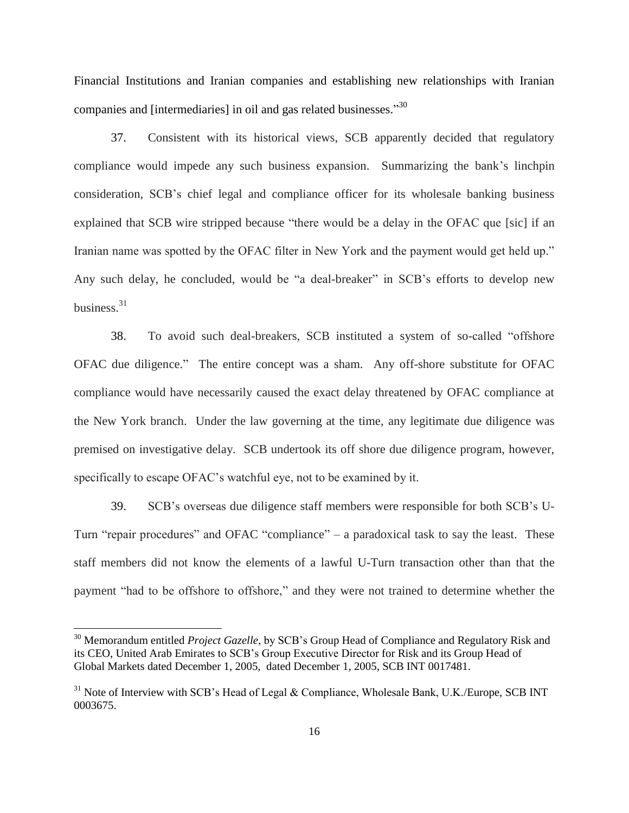Financial Institutions and Iranian companies and establishing new relationships with Iranian companies and [intermediaries] in oil and gas related businesses."30

37. Consistent with its historical views, SCB apparently decided that regulatory compliance would impede any such business expansion. Summarizing the bank"s linchpin consideration, SCB"s chief legal and compliance officer for its wholesale banking business explained that SCB wire stripped because "there would be a delay in the OFAC que [sic] if an Iranian name was spotted by the OFAC filter in New York and the payment would get held up." Any such delay, he concluded, would be "a deal-breaker" in SCB"s efforts to develop new business. 31

38. To avoid such deal-breakers, SCB instituted a system of so-called "offshore OFAC due diligence." The entire concept was a sham. Any off-shore substitute for OFAC compliance would have necessarily caused the exact delay threatened by OFAC compliance at the New York branch. Under the law governing at the time, any legitimate due diligence was premised on investigative delay. SCB undertook its off shore due diligence program, however, specifically to escape OFAC's watchful eye, not to be examined by it.

39. SCB"s overseas due diligence staff members were responsible for both SCB"s U-Turn "repair procedures" and OFAC "compliance" – a paradoxical task to say the least. These staff members did not know the elements of a lawful U-Turn transaction other than that the payment "had to be offshore to offshore," and they were not trained to determine whether the

<sup>&</sup>lt;sup>30</sup> Memorandum entitled *Project Gazelle*, by SCB's Group Head of Compliance and Regulatory Risk and its CEO, United Arab Emirates to SCB"s Group Executive Director for Risk and its Group Head of Global Markets dated December 1, 2005, dated December 1, 2005, SCB INT 0017481.

 $31$  Note of Interview with SCB's Head of Legal & Compliance, Wholesale Bank, U.K./Europe, SCB INT 0003675.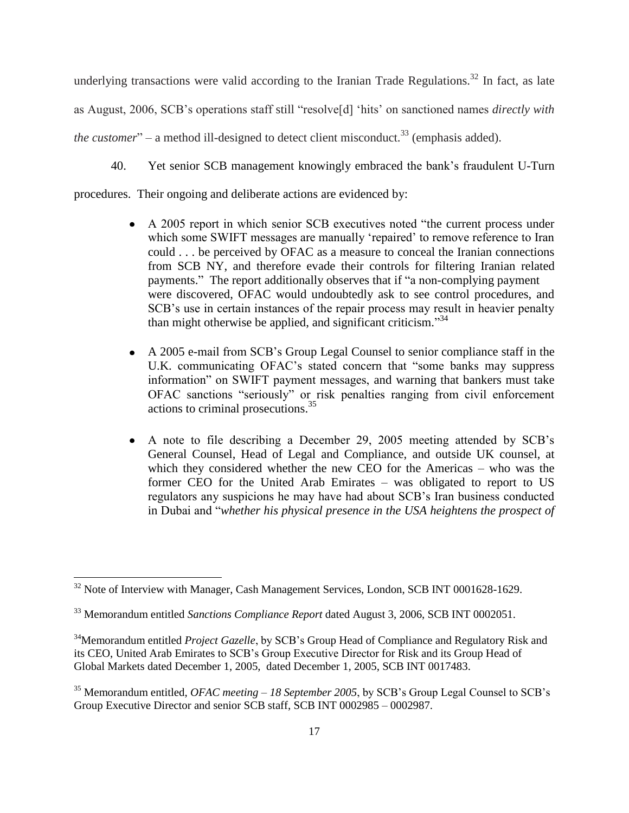underlying transactions were valid according to the Iranian Trade Regulations.<sup>32</sup> In fact, as late as August, 2006, SCB"s operations staff still "resolve[d] "hits" on sanctioned names *directly with the customer*" – a method ill-designed to detect client misconduct.<sup>33</sup> (emphasis added).

40. Yet senior SCB management knowingly embraced the bank"s fraudulent U-Turn

procedures. Their ongoing and deliberate actions are evidenced by:

- A 2005 report in which senior SCB executives noted "the current process under which some SWIFT messages are manually 'repaired' to remove reference to Iran could . . . be perceived by OFAC as a measure to conceal the Iranian connections from SCB NY, and therefore evade their controls for filtering Iranian related payments." The report additionally observes that if "a non-complying payment were discovered, OFAC would undoubtedly ask to see control procedures, and SCB's use in certain instances of the repair process may result in heavier penalty than might otherwise be applied, and significant criticism."<sup>34</sup>
- A 2005 e-mail from SCB"s Group Legal Counsel to senior compliance staff in the U.K. communicating OFAC"s stated concern that "some banks may suppress information" on SWIFT payment messages, and warning that bankers must take OFAC sanctions "seriously" or risk penalties ranging from civil enforcement actions to criminal prosecutions. 35
- A note to file describing a December 29, 2005 meeting attended by SCB"s General Counsel, Head of Legal and Compliance, and outside UK counsel, at which they considered whether the new CEO for the Americas – who was the former CEO for the United Arab Emirates – was obligated to report to US regulators any suspicions he may have had about SCB"s Iran business conducted in Dubai and "*whether his physical presence in the USA heightens the prospect of*

 $32$  Note of Interview with Manager, Cash Management Services, London, SCB INT 0001628-1629.

<sup>33</sup> Memorandum entitled *Sanctions Compliance Report* dated August 3, 2006, SCB INT 0002051.

<sup>&</sup>lt;sup>34</sup>Memorandum entitled *Project Gazelle*, by SCB's Group Head of Compliance and Regulatory Risk and its CEO, United Arab Emirates to SCB"s Group Executive Director for Risk and its Group Head of Global Markets dated December 1, 2005, dated December 1, 2005, SCB INT 0017483.

<sup>35</sup> Memorandum entitled, *OFAC meeting – 18 September 2005*, by SCB"s Group Legal Counsel to SCB"s Group Executive Director and senior SCB staff, SCB INT 0002985 – 0002987.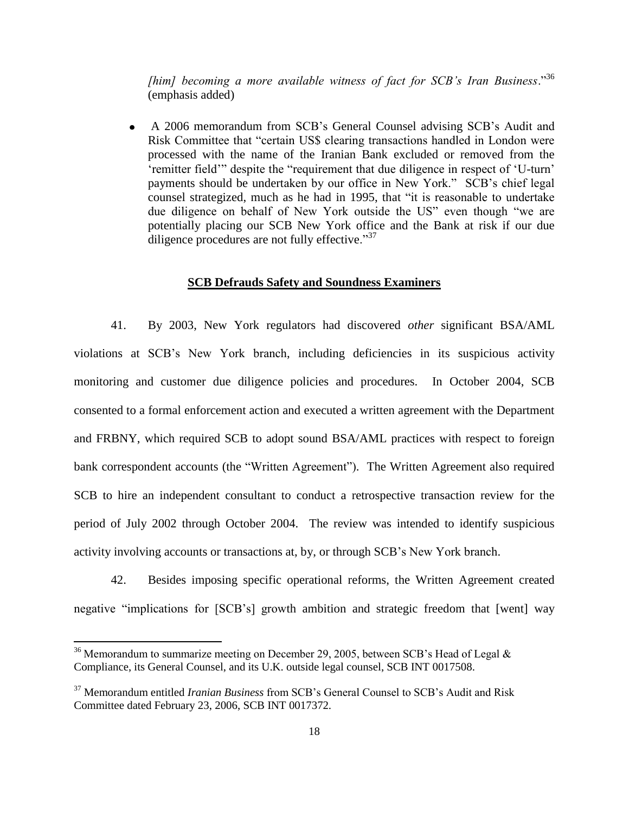*[him] becoming a more available witness of fact for SCB's Iran Business*."<sup>36</sup> (emphasis added)

A 2006 memorandum from SCB"s General Counsel advising SCB"s Audit and  $\bullet$ Risk Committee that "certain US\$ clearing transactions handled in London were processed with the name of the Iranian Bank excluded or removed from the "remitter field" despite the "requirement that due diligence in respect of 'U-turn' payments should be undertaken by our office in New York." SCB"s chief legal counsel strategized, much as he had in 1995, that "it is reasonable to undertake due diligence on behalf of New York outside the US" even though "we are potentially placing our SCB New York office and the Bank at risk if our due diligence procedures are not fully effective."37

# **SCB Defrauds Safety and Soundness Examiners**

41. By 2003, New York regulators had discovered *other* significant BSA/AML violations at SCB"s New York branch, including deficiencies in its suspicious activity monitoring and customer due diligence policies and procedures. In October 2004, SCB consented to a formal enforcement action and executed a written agreement with the Department and FRBNY, which required SCB to adopt sound BSA/AML practices with respect to foreign bank correspondent accounts (the "Written Agreement"). The Written Agreement also required SCB to hire an independent consultant to conduct a retrospective transaction review for the period of July 2002 through October 2004. The review was intended to identify suspicious activity involving accounts or transactions at, by, or through SCB"s New York branch.

42. Besides imposing specific operational reforms, the Written Agreement created negative "implications for [SCB"s] growth ambition and strategic freedom that [went] way

<sup>&</sup>lt;sup>36</sup> Memorandum to summarize meeting on December 29, 2005, between SCB's Head of Legal  $\&$ Compliance, its General Counsel, and its U.K. outside legal counsel, SCB INT 0017508.

<sup>37</sup> Memorandum entitled *Iranian Business* from SCB"s General Counsel to SCB"s Audit and Risk Committee dated February 23, 2006, SCB INT 0017372.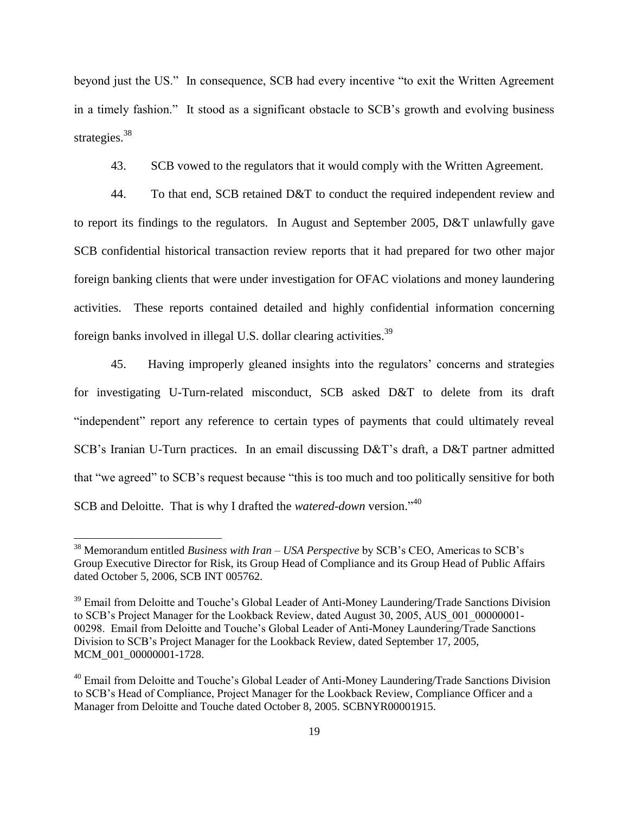beyond just the US." In consequence, SCB had every incentive "to exit the Written Agreement in a timely fashion." It stood as a significant obstacle to SCB"s growth and evolving business strategies.<sup>38</sup>

43. SCB vowed to the regulators that it would comply with the Written Agreement.

44. To that end, SCB retained D&T to conduct the required independent review and to report its findings to the regulators. In August and September 2005, D&T unlawfully gave SCB confidential historical transaction review reports that it had prepared for two other major foreign banking clients that were under investigation for OFAC violations and money laundering activities. These reports contained detailed and highly confidential information concerning foreign banks involved in illegal U.S. dollar clearing activities.<sup>39</sup>

45. Having improperly gleaned insights into the regulators" concerns and strategies for investigating U-Turn-related misconduct, SCB asked D&T to delete from its draft "independent" report any reference to certain types of payments that could ultimately reveal SCB"s Iranian U-Turn practices. In an email discussing D&T"s draft, a D&T partner admitted that "we agreed" to SCB"s request because "this is too much and too politically sensitive for both SCB and Deloitte. That is why I drafted the *watered-down* version." 40

<sup>38</sup> Memorandum entitled *Business with Iran – USA Perspective* by SCB"s CEO, Americas to SCB"s Group Executive Director for Risk, its Group Head of Compliance and its Group Head of Public Affairs dated October 5, 2006, SCB INT 005762.

<sup>&</sup>lt;sup>39</sup> Email from Deloitte and Touche's Global Leader of Anti-Money Laundering/Trade Sanctions Division to SCB's Project Manager for the Lookback Review, dated August 30, 2005, AUS 001 00000001-00298. Email from Deloitte and Touche"s Global Leader of Anti-Money Laundering/Trade Sanctions Division to SCB"s Project Manager for the Lookback Review, dated September 17, 2005, MCM\_001\_00000001-1728.

<sup>&</sup>lt;sup>40</sup> Email from Deloitte and Touche's Global Leader of Anti-Money Laundering/Trade Sanctions Division to SCB"s Head of Compliance, Project Manager for the Lookback Review, Compliance Officer and a Manager from Deloitte and Touche dated October 8, 2005. SCBNYR00001915.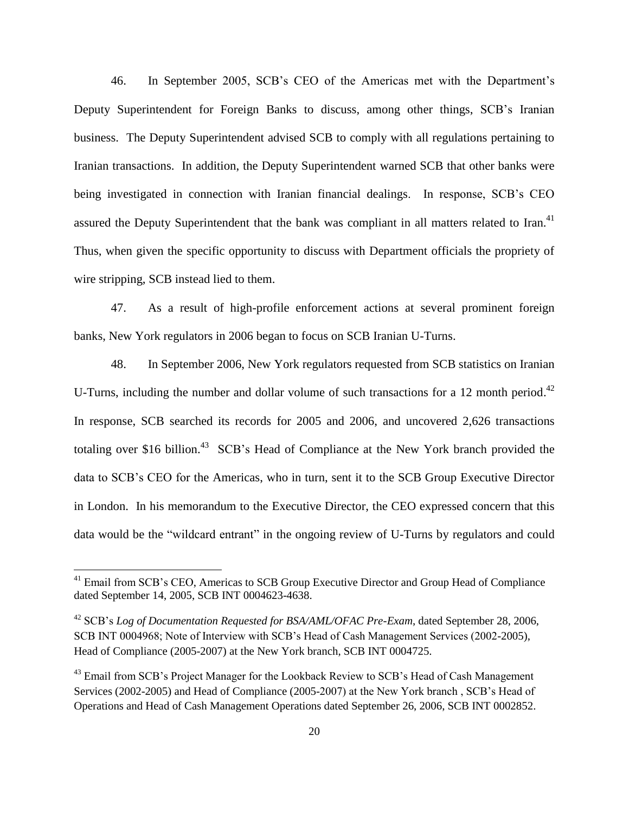46. In September 2005, SCB"s CEO of the Americas met with the Department"s Deputy Superintendent for Foreign Banks to discuss, among other things, SCB"s Iranian business. The Deputy Superintendent advised SCB to comply with all regulations pertaining to Iranian transactions. In addition, the Deputy Superintendent warned SCB that other banks were being investigated in connection with Iranian financial dealings. In response, SCB"s CEO assured the Deputy Superintendent that the bank was compliant in all matters related to Iran.<sup>41</sup> Thus, when given the specific opportunity to discuss with Department officials the propriety of wire stripping, SCB instead lied to them.

47. As a result of high-profile enforcement actions at several prominent foreign banks, New York regulators in 2006 began to focus on SCB Iranian U-Turns.

48. In September 2006, New York regulators requested from SCB statistics on Iranian U-Turns, including the number and dollar volume of such transactions for a 12 month period.<sup>42</sup> In response, SCB searched its records for 2005 and 2006, and uncovered 2,626 transactions totaling over \$16 billion.<sup>43</sup> SCB's Head of Compliance at the New York branch provided the data to SCB"s CEO for the Americas, who in turn, sent it to the SCB Group Executive Director in London. In his memorandum to the Executive Director, the CEO expressed concern that this data would be the "wildcard entrant" in the ongoing review of U-Turns by regulators and could

<sup>&</sup>lt;sup>41</sup> Email from SCB's CEO, Americas to SCB Group Executive Director and Group Head of Compliance dated September 14, 2005, SCB INT 0004623-4638.

<sup>42</sup> SCB"s *Log of Documentation Requested for BSA/AML/OFAC Pre-Exam*, dated September 28, 2006, SCB INT 0004968; Note of Interview with SCB"s Head of Cash Management Services (2002-2005), Head of Compliance (2005-2007) at the New York branch, SCB INT 0004725.

<sup>&</sup>lt;sup>43</sup> Email from SCB's Project Manager for the Lookback Review to SCB's Head of Cash Management Services (2002-2005) and Head of Compliance (2005-2007) at the New York branch , SCB"s Head of Operations and Head of Cash Management Operations dated September 26, 2006, SCB INT 0002852.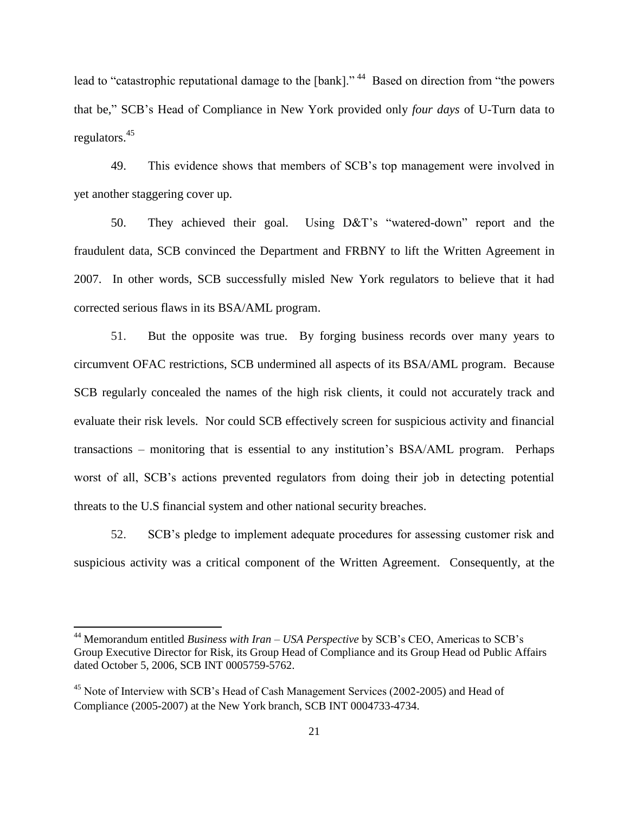lead to "catastrophic reputational damage to the [bank]."<sup>44</sup> Based on direction from "the powers that be," SCB"s Head of Compliance in New York provided only *four days* of U-Turn data to regulators. 45

49. This evidence shows that members of SCB"s top management were involved in yet another staggering cover up.

50. They achieved their goal. Using D&T"s "watered-down" report and the fraudulent data, SCB convinced the Department and FRBNY to lift the Written Agreement in 2007. In other words, SCB successfully misled New York regulators to believe that it had corrected serious flaws in its BSA/AML program.

51. But the opposite was true. By forging business records over many years to circumvent OFAC restrictions, SCB undermined all aspects of its BSA/AML program. Because SCB regularly concealed the names of the high risk clients, it could not accurately track and evaluate their risk levels. Nor could SCB effectively screen for suspicious activity and financial transactions – monitoring that is essential to any institution"s BSA/AML program. Perhaps worst of all, SCB's actions prevented regulators from doing their job in detecting potential threats to the U.S financial system and other national security breaches.

52. SCB"s pledge to implement adequate procedures for assessing customer risk and suspicious activity was a critical component of the Written Agreement. Consequently, at the

<sup>44</sup> Memorandum entitled *Business with Iran – USA Perspective* by SCB"s CEO, Americas to SCB"s Group Executive Director for Risk, its Group Head of Compliance and its Group Head od Public Affairs dated October 5, 2006, SCB INT 0005759-5762.

<sup>&</sup>lt;sup>45</sup> Note of Interview with SCB's Head of Cash Management Services (2002-2005) and Head of Compliance (2005-2007) at the New York branch, SCB INT 0004733-4734.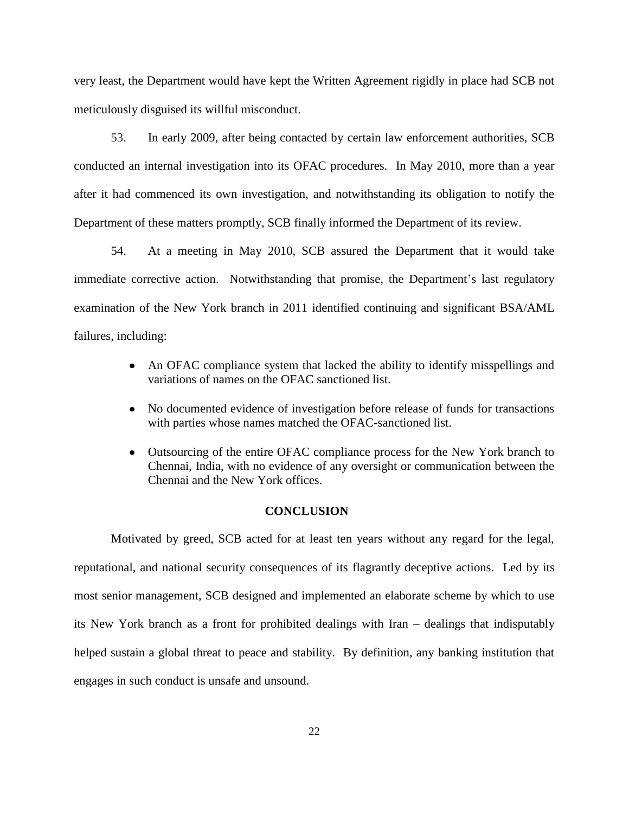very least, the Department would have kept the Written Agreement rigidly in place had SCB not meticulously disguised its willful misconduct.

53. In early 2009, after being contacted by certain law enforcement authorities, SCB conducted an internal investigation into its OFAC procedures. In May 2010, more than a year after it had commenced its own investigation, and notwithstanding its obligation to notify the Department of these matters promptly, SCB finally informed the Department of its review.

54. At a meeting in May 2010, SCB assured the Department that it would take immediate corrective action. Notwithstanding that promise, the Department's last regulatory examination of the New York branch in 2011 identified continuing and significant BSA/AML failures, including:

- An OFAC compliance system that lacked the ability to identify misspellings and variations of names on the OFAC sanctioned list.
- $\bullet$ No documented evidence of investigation before release of funds for transactions with parties whose names matched the OFAC-sanctioned list.
- $\bullet$ Outsourcing of the entire OFAC compliance process for the New York branch to Chennai, India, with no evidence of any oversight or communication between the Chennai and the New York offices.

## **CONCLUSION**

Motivated by greed, SCB acted for at least ten years without any regard for the legal, reputational, and national security consequences of its flagrantly deceptive actions. Led by its most senior management, SCB designed and implemented an elaborate scheme by which to use its New York branch as a front for prohibited dealings with Iran – dealings that indisputably helped sustain a global threat to peace and stability. By definition, any banking institution that engages in such conduct is unsafe and unsound.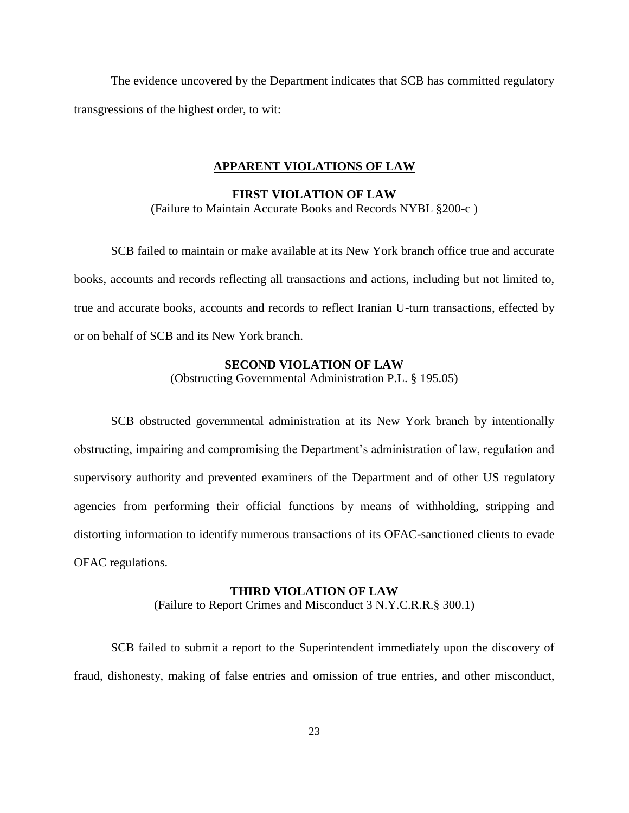The evidence uncovered by the Department indicates that SCB has committed regulatory transgressions of the highest order, to wit:

#### **APPARENT VIOLATIONS OF LAW**

## **FIRST VIOLATION OF LAW** (Failure to Maintain Accurate Books and Records NYBL §200-c )

SCB failed to maintain or make available at its New York branch office true and accurate books, accounts and records reflecting all transactions and actions, including but not limited to, true and accurate books, accounts and records to reflect Iranian U-turn transactions, effected by or on behalf of SCB and its New York branch.

#### **SECOND VIOLATION OF LAW**

(Obstructing Governmental Administration P.L. § 195.05)

SCB obstructed governmental administration at its New York branch by intentionally obstructing, impairing and compromising the Department's administration of law, regulation and supervisory authority and prevented examiners of the Department and of other US regulatory agencies from performing their official functions by means of withholding, stripping and distorting information to identify numerous transactions of its OFAC-sanctioned clients to evade OFAC regulations.

#### **THIRD VIOLATION OF LAW**

(Failure to Report Crimes and Misconduct 3 N.Y.C.R.R.§ 300.1)

SCB failed to submit a report to the Superintendent immediately upon the discovery of fraud, dishonesty, making of false entries and omission of true entries, and other misconduct,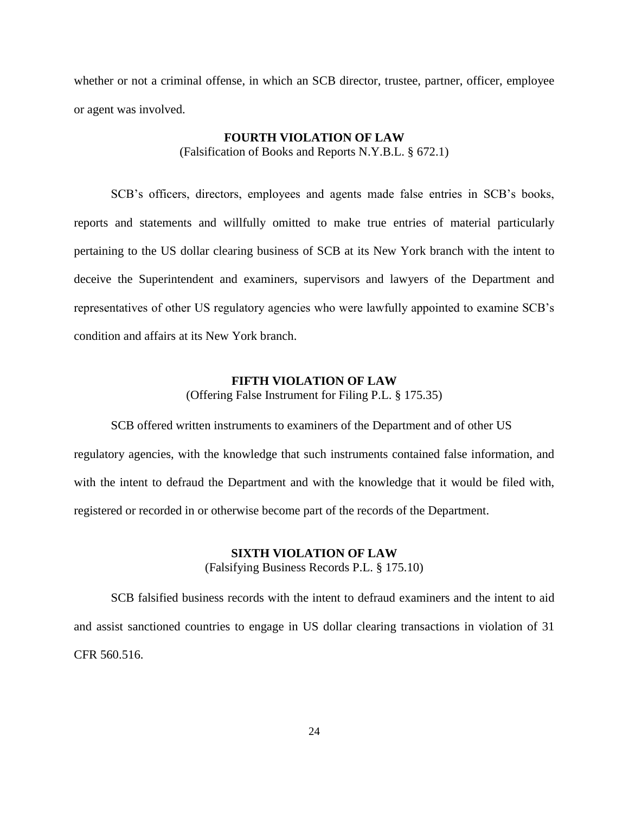whether or not a criminal offense, in which an SCB director, trustee, partner, officer, employee or agent was involved.

## **FOURTH VIOLATION OF LAW**

(Falsification of Books and Reports N.Y.B.L. § 672.1)

SCB"s officers, directors, employees and agents made false entries in SCB"s books, reports and statements and willfully omitted to make true entries of material particularly pertaining to the US dollar clearing business of SCB at its New York branch with the intent to deceive the Superintendent and examiners, supervisors and lawyers of the Department and representatives of other US regulatory agencies who were lawfully appointed to examine SCB"s condition and affairs at its New York branch.

# **FIFTH VIOLATION OF LAW** (Offering False Instrument for Filing P.L. § 175.35)

SCB offered written instruments to examiners of the Department and of other US regulatory agencies, with the knowledge that such instruments contained false information, and with the intent to defraud the Department and with the knowledge that it would be filed with, registered or recorded in or otherwise become part of the records of the Department.

# **SIXTH VIOLATION OF LAW**

(Falsifying Business Records P.L. § 175.10)

SCB falsified business records with the intent to defraud examiners and the intent to aid and assist sanctioned countries to engage in US dollar clearing transactions in violation of 31 CFR 560.516.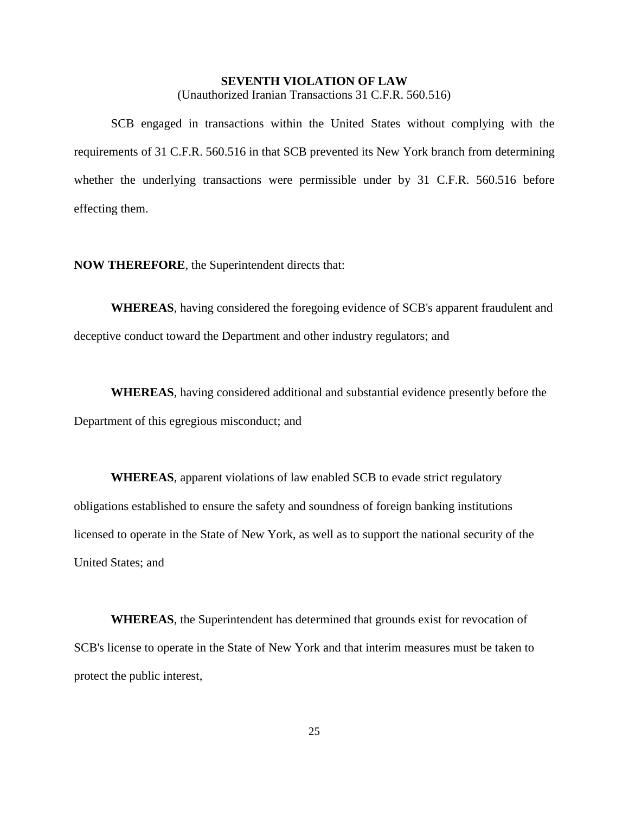# **SEVENTH VIOLATION OF LAW**

(Unauthorized Iranian Transactions 31 C.F.R. 560.516)

SCB engaged in transactions within the United States without complying with the requirements of 31 C.F.R. 560.516 in that SCB prevented its New York branch from determining whether the underlying transactions were permissible under by 31 C.F.R. 560.516 before effecting them.

**NOW THEREFORE**, the Superintendent directs that:

**WHEREAS**, having considered the foregoing evidence of SCB's apparent fraudulent and deceptive conduct toward the Department and other industry regulators; and

**WHEREAS**, having considered additional and substantial evidence presently before the Department of this egregious misconduct; and

**WHEREAS**, apparent violations of law enabled SCB to evade strict regulatory obligations established to ensure the safety and soundness of foreign banking institutions licensed to operate in the State of New York, as well as to support the national security of the United States; and

**WHEREAS**, the Superintendent has determined that grounds exist for revocation of SCB's license to operate in the State of New York and that interim measures must be taken to protect the public interest,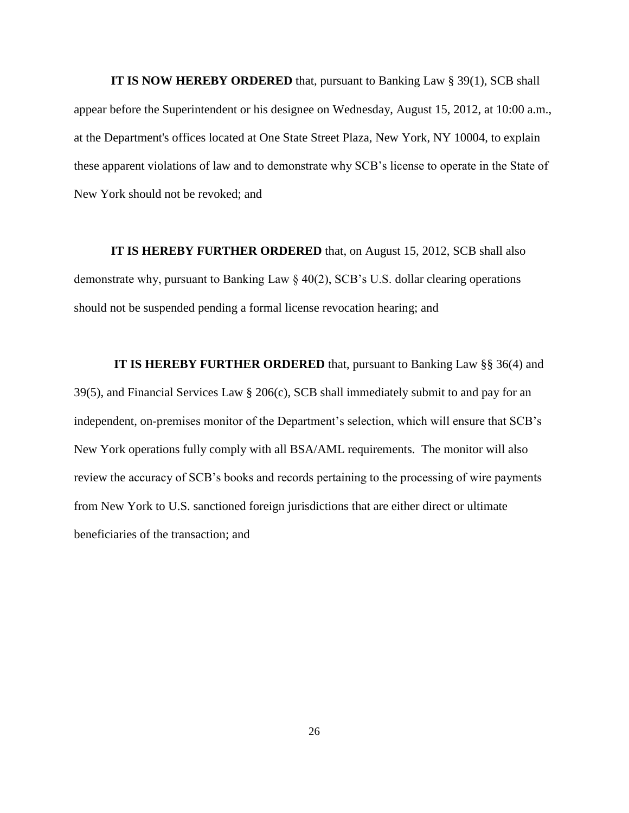**IT IS NOW HEREBY ORDERED** that, pursuant to Banking Law § 39(1), SCB shall appear before the Superintendent or his designee on Wednesday, August 15, 2012, at 10:00 a.m., at the Department's offices located at One State Street Plaza, New York, NY 10004, to explain these apparent violations of law and to demonstrate why SCB"s license to operate in the State of New York should not be revoked; and

**IT IS HEREBY FURTHER ORDERED** that, on August 15, 2012, SCB shall also demonstrate why, pursuant to Banking Law § 40(2), SCB"s U.S. dollar clearing operations should not be suspended pending a formal license revocation hearing; and

**IT IS HEREBY FURTHER ORDERED** that, pursuant to Banking Law §§ 36(4) and 39(5), and Financial Services Law § 206(c), SCB shall immediately submit to and pay for an independent, on-premises monitor of the Department's selection, which will ensure that SCB's New York operations fully comply with all BSA/AML requirements. The monitor will also review the accuracy of SCB"s books and records pertaining to the processing of wire payments from New York to U.S. sanctioned foreign jurisdictions that are either direct or ultimate beneficiaries of the transaction; and